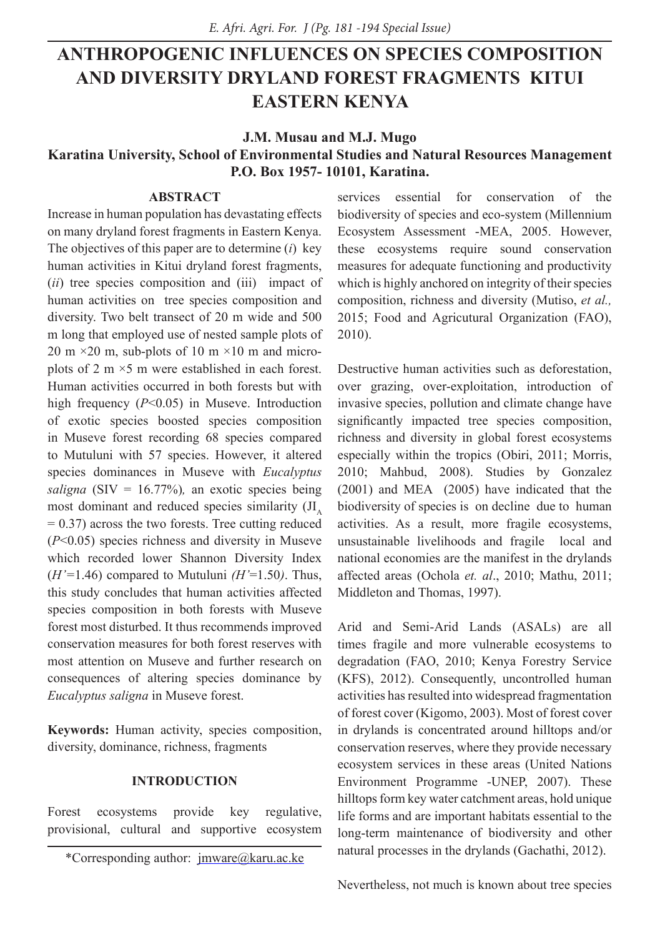# **ANTHROPOGENIC INFLUENCES ON SPECIES COMPOSITION AND DIVERSITY DRYLAND FOREST FRAGMENTS KITUI EASTERN KENYA**

#### **J.M. Musau and M.J. Mugo**

# **Karatina University, School of Environmental Studies and Natural Resources Management P.O. Box 1957- 10101, Karatina.**

# **ABSTRACT**

Increase in human population has devastating effects on many dryland forest fragments in Eastern Kenya. The objectives of this paper are to determine (*i*) key human activities in Kitui dryland forest fragments, (*ii*) tree species composition and (iii) impact of human activities on tree species composition and diversity. Two belt transect of 20 m wide and 500 m long that employed use of nested sample plots of 20 m  $\times$  20 m, sub-plots of 10 m  $\times$  10 m and microplots of 2 m ×5 m were established in each forest. Human activities occurred in both forests but with high frequency (*P*<0.05) in Museve. Introduction of exotic species boosted species composition in Museve forest recording 68 species compared to Mutuluni with 57 species. However, it altered species dominances in Museve with *Eucalyptus saligna*  $(SIV = 16.77%)$ , an exotic species being most dominant and reduced species similarity  $J_{\text{A}}$  $= 0.37$ ) across the two forests. Tree cutting reduced (*P*<0.05) species richness and diversity in Museve which recorded lower Shannon Diversity Index  $(H'=1.46)$  compared to Mutuluni  $(H'=1.50)$ . Thus, this study concludes that human activities affected species composition in both forests with Museve forest most disturbed. It thus recommends improved conservation measures for both forest reserves with most attention on Museve and further research on consequences of altering species dominance by *Eucalyptus saligna* in Museve forest.

**Keywords:** Human activity, species composition, diversity, dominance, richness, fragments

### **INTRODUCTION**

Forest ecosystems provide key regulative, provisional, cultural and supportive ecosystem

services essential for conservation of the biodiversity of species and eco-system (Millennium Ecosystem Assessment -MEA, 2005. However, these ecosystems require sound conservation measures for adequate functioning and productivity which is highly anchored on integrity of their species composition, richness and diversity (Mutiso, *et al.,* 2015; Food and Agricutural Organization (FAO), 2010).

Destructive human activities such as deforestation, over grazing, over-exploitation, introduction of invasive species, pollution and climate change have significantly impacted tree species composition, richness and diversity in global forest ecosystems especially within the tropics (Obiri, 2011; Morris, 2010; Mahbud, 2008). Studies by Gonzalez (2001) and MEA (2005) have indicated that the biodiversity of species is on decline due to human activities. As a result, more fragile ecosystems, unsustainable livelihoods and fragile local and national economies are the manifest in the drylands affected areas (Ochola *et. al*., 2010; Mathu, 2011; Middleton and Thomas, 1997).

Arid and Semi-Arid Lands (ASALs) are all times fragile and more vulnerable ecosystems to degradation (FAO, 2010; Kenya Forestry Service (KFS), 2012). Consequently, uncontrolled human activities has resulted into widespread fragmentation of forest cover (Kigomo, 2003). Most of forest cover in drylands is concentrated around hilltops and/or conservation reserves, where they provide necessary ecosystem services in these areas (United Nations Environment Programme -UNEP, 2007). These hilltops form key water catchment areas, hold unique life forms and are important habitats essential to the long-term maintenance of biodiversity and other natural processes in the drylands (Gachathi, 2012).

Nevertheless, not much is known about tree species

<sup>\*</sup>Corresponding author: jmware@karu.ac.ke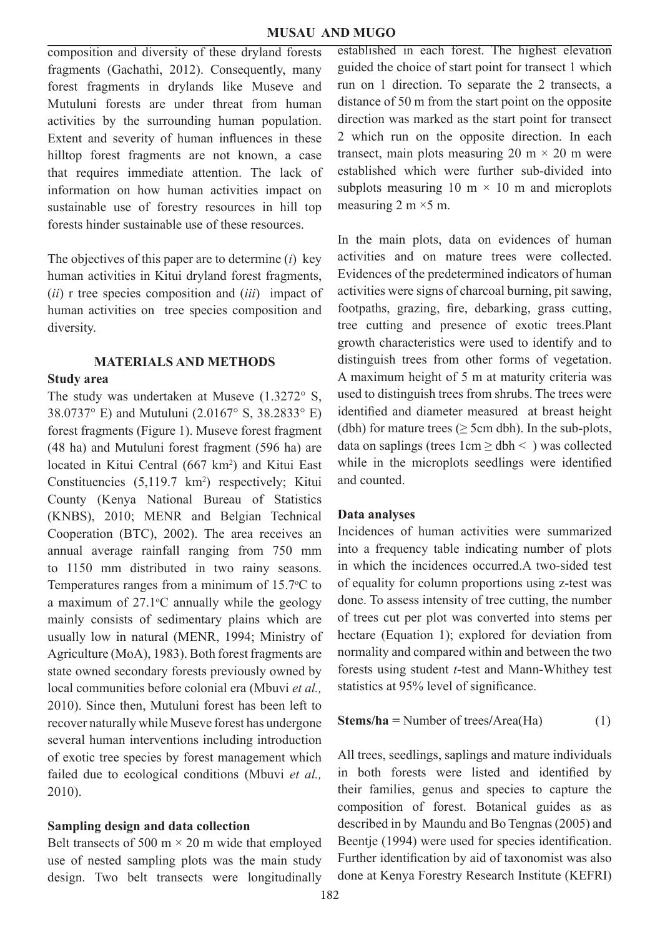composition and diversity of these dryland forests fragments (Gachathi, 2012). Consequently, many forest fragments in drylands like Museve and Mutuluni forests are under threat from human activities by the surrounding human population. Extent and severity of human influences in these hilltop forest fragments are not known, a case that requires immediate attention. The lack of information on how human activities impact on sustainable use of forestry resources in hill top forests hinder sustainable use of these resources.

The objectives of this paper are to determine (*i*) key human activities in Kitui dryland forest fragments, (*ii*) r tree species composition and (*iii*) impact of human activities on tree species composition and diversity.

### **MATERIALS AND METHODS**

#### **Study area**

The study was undertaken at Museve (1.3272° S, 38.0737° E) and Mutuluni (2.0167° S, 38.2833° E) forest fragments (Figure 1). Museve forest fragment (48 ha) and Mutuluni forest fragment (596 ha) are located in Kitui Central (667 km<sup>2</sup>) and Kitui East Constituencies  $(5,119.7 \text{ km}^2)$  respectively; Kitui County (Kenya National Bureau of Statistics (KNBS), 2010; MENR and Belgian Technical Cooperation (BTC), 2002). The area receives an annual average rainfall ranging from 750 mm to 1150 mm distributed in two rainy seasons. Temperatures ranges from a minimum of  $15.7$ °C to a maximum of  $27.1^{\circ}$ C annually while the geology mainly consists of sedimentary plains which are usually low in natural (MENR, 1994; Ministry of Agriculture (MoA), 1983). Both forest fragments are state owned secondary forests previously owned by local communities before colonial era (Mbuvi *et al.,* 2010). Since then, Mutuluni forest has been left to recover naturally while Museve forest has undergone several human interventions including introduction of exotic tree species by forest management which failed due to ecological conditions (Mbuvi *et al.,* 2010).

### **Sampling design and data collection**

Belt transects of 500 m  $\times$  20 m wide that employed use of nested sampling plots was the main study design. Two belt transects were longitudinally established in each forest. The highest elevation guided the choice of start point for transect 1 which run on 1 direction. To separate the 2 transects, a distance of 50 m from the start point on the opposite direction was marked as the start point for transect 2 which run on the opposite direction. In each transect, main plots measuring 20 m  $\times$  20 m were established which were further sub-divided into subplots measuring 10 m  $\times$  10 m and microplots measuring  $2 \text{ m} \times 5 \text{ m}$ .

In the main plots, data on evidences of human activities and on mature trees were collected. Evidences of the predetermined indicators of human activities were signs of charcoal burning, pit sawing, footpaths, grazing, fire, debarking, grass cutting, tree cutting and presence of exotic trees.Plant growth characteristics were used to identify and to distinguish trees from other forms of vegetation. A maximum height of 5 m at maturity criteria was used to distinguish trees from shrubs. The trees were identified and diameter measured at breast height (dbh) for mature trees ( $\geq$  5cm dbh). In the sub-plots, data on saplings (trees  $1 \text{cm} \geq \text{dbh}$  < ) was collected while in the microplots seedlings were identified and counted.

### **Data analyses**

Incidences of human activities were summarized into a frequency table indicating number of plots in which the incidences occurred.A two-sided test of equality for column proportions using z-test was done. To assess intensity of tree cutting, the number of trees cut per plot was converted into stems per hectare (Equation 1); explored for deviation from normality and compared within and between the two forests using student *t*-test and Mann-Whithey test statistics at 95% level of significance.

**Stems/ha =** Number of trees**/**Area(Ha) (1)

All trees, seedlings, saplings and mature individuals in both forests were listed and identified by their families, genus and species to capture the composition of forest. Botanical guides as as described in by Maundu and Bo Tengnas (2005) and Beentje (1994) were used for species identification. Further identification by aid of taxonomist was also done at Kenya Forestry Research Institute (KEFRI)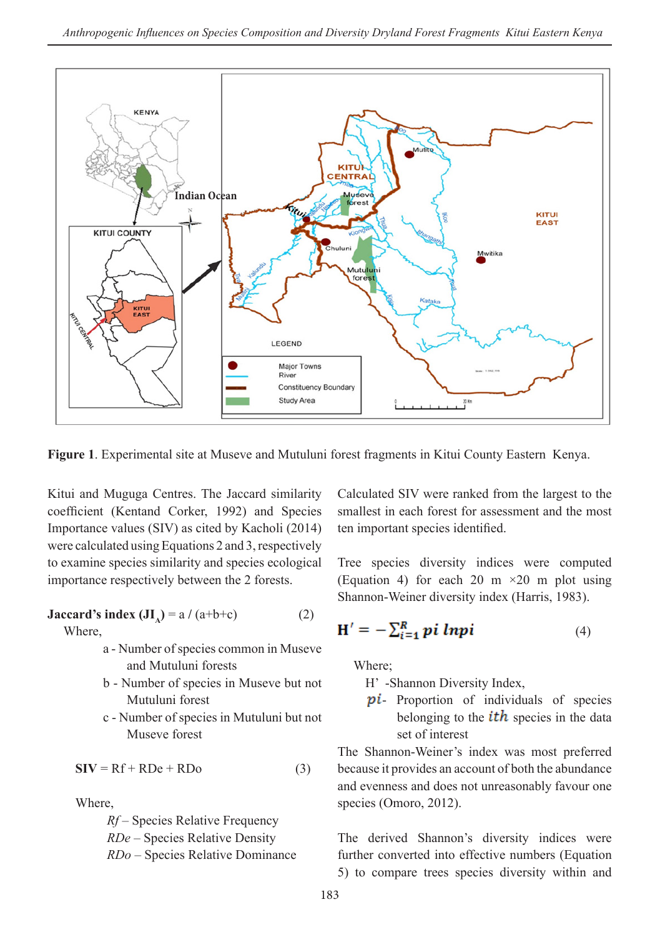

**Figure 1**. Experimental site at Museve and Mutuluni forest fragments in Kitui County Eastern Kenya.

Kitui and Muguga Centres. The Jaccard similarity coefficient (Kentand Corker, 1992) and Species Importance values (SIV) as cited by Kacholi (2014) were calculated using Equations 2 and 3, respectively to examine species similarity and species ecological importance respectively between the 2 forests.

**Jaccard's index**  $(JI_A) = a / (a+b+c)$  **(2)** 

Where,

- a Number of species common in Museve and Mutuluni forests
- b Number of species in Museve but not Mutuluni forest
- c Number of species in Mutuluni but not Museve forest

$$
SIV = Rf + RDe + RDo
$$
 (3)

Where,

*Rf* – Species Relative Frequency *RDe* – Species Relative Density *RDo* – Species Relative Dominance Calculated SIV were ranked from the largest to the smallest in each forest for assessment and the most ten important species identified.

Tree species diversity indices were computed (Equation 4) for each 20 m  $\times$  20 m plot using Shannon-Weiner diversity index (Harris, 1983).

$$
\mathbf{H}' = -\sum_{i=1}^{R} p_i \; lnp_i \tag{4}
$$

Where;

H' -Shannon Diversity Index,

**pi**- Proportion of individuals of species belonging to the  $ith$  species in the data set of interest

The Shannon-Weiner's index was most preferred because it provides an account of both the abundance and evenness and does not unreasonably favour one species (Omoro, 2012).

The derived Shannon's diversity indices were further converted into effective numbers (Equation 5) to compare trees species diversity within and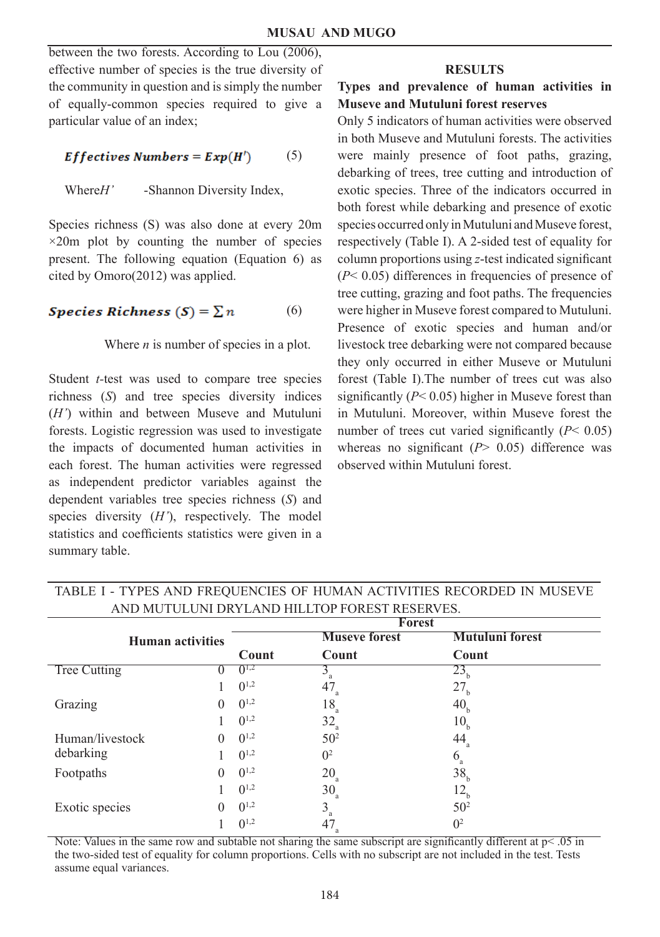between the two forests. According to Lou (2006), effective number of species is the true diversity of the community in question and is simply the number of equally-common species required to give a particular value of an index;

$$
Effective \, Numbers = Exp(H') \qquad (5)
$$

Where*H'* -Shannon Diversity Index,

Species richness (S) was also done at every 20m  $\times$ 20m plot by counting the number of species present. The following equation (Equation 6) as cited by Omoro(2012) was applied.

$$
Species\,Richness\ (S) = \sum n \tag{6}
$$

Where *n* is number of species in a plot.

Student *t-*test was used to compare tree species richness (*S*) and tree species diversity indices (*H'*) within and between Museve and Mutuluni forests. Logistic regression was used to investigate the impacts of documented human activities in each forest. The human activities were regressed as independent predictor variables against the dependent variables tree species richness (*S*) and species diversity (*H'*), respectively. The model statistics and coefficients statistics were given in a summary table.

### **RESULTS**

## **Types and prevalence of human activities in Museve and Mutuluni forest reserves**

Only 5 indicators of human activities were observed in both Museve and Mutuluni forests. The activities were mainly presence of foot paths, grazing, debarking of trees, tree cutting and introduction of exotic species. Three of the indicators occurred in both forest while debarking and presence of exotic species occurred only in Mutuluni and Museve forest, respectively (Table I). A 2-sided test of equality for column proportions using *z*-test indicated significant  $(P< 0.05)$  differences in frequencies of presence of tree cutting, grazing and foot paths. The frequencies were higher in Museve forest compared to Mutuluni. Presence of exotic species and human and/or livestock tree debarking were not compared because they only occurred in either Museve or Mutuluni forest (Table I).The number of trees cut was also significantly (*P*< 0.05) higher in Museve forest than in Mutuluni. Moreover, within Museve forest the number of trees cut varied significantly  $(P< 0.05)$ whereas no significant ( $P > 0.05$ ) difference was observed within Mutuluni forest.

|                         |          | <b>Forest</b> |                      |                             |  |  |
|-------------------------|----------|---------------|----------------------|-----------------------------|--|--|
| <b>Human activities</b> |          |               | <b>Museve forest</b> | <b>Mutuluni forest</b>      |  |  |
|                         |          | Count         | Count                | Count                       |  |  |
| <b>Tree Cutting</b>     |          | $0^{1,2}$     |                      | 23 <sub>b</sub>             |  |  |
|                         |          | $0^{1,2}$     | 47<br>a              | 27 <sub>b</sub>             |  |  |
| Grazing                 | $\theta$ | $0^{1,2}$     | $18_{\rm a}$         | 40,                         |  |  |
|                         |          | $0^{1,2}$     | $32_a$               | 10 <sub>b</sub>             |  |  |
| Human/livestock         | $\Omega$ | $0^{1,2}$     | 50 <sup>2</sup>      | $44_{\scriptscriptstyle a}$ |  |  |
| debarking               |          | $0^{1,2}$     | 0 <sup>2</sup>       | $6_{\rm a}$                 |  |  |
| Footpaths               | $\Omega$ | $0^{1,2}$     | $20_a$               | 38 <sub>h</sub>             |  |  |
|                         |          | $0^{1,2}$     | $30_a$               | $12_{\rm b}$                |  |  |
| Exotic species          | $\theta$ | $0^{1,2}$     | $3_a$                | 50 <sup>2</sup>             |  |  |
|                         |          | $0^{1,2}$     | 47                   | 0 <sup>2</sup>              |  |  |

TABLE I - TYPES AND FREQUENCIES OF HUMAN ACTIVITIES RECORDED IN MUSEVE AND MUTULUNI DRYLAND HILLTOP FOREST RESERVES.

Note: Values in the same row and subtable not sharing the same subscript are significantly different at  $p < .05$  in the two-sided test of equality for column proportions. Cells with no subscript are not included in the test. Tests assume equal variances.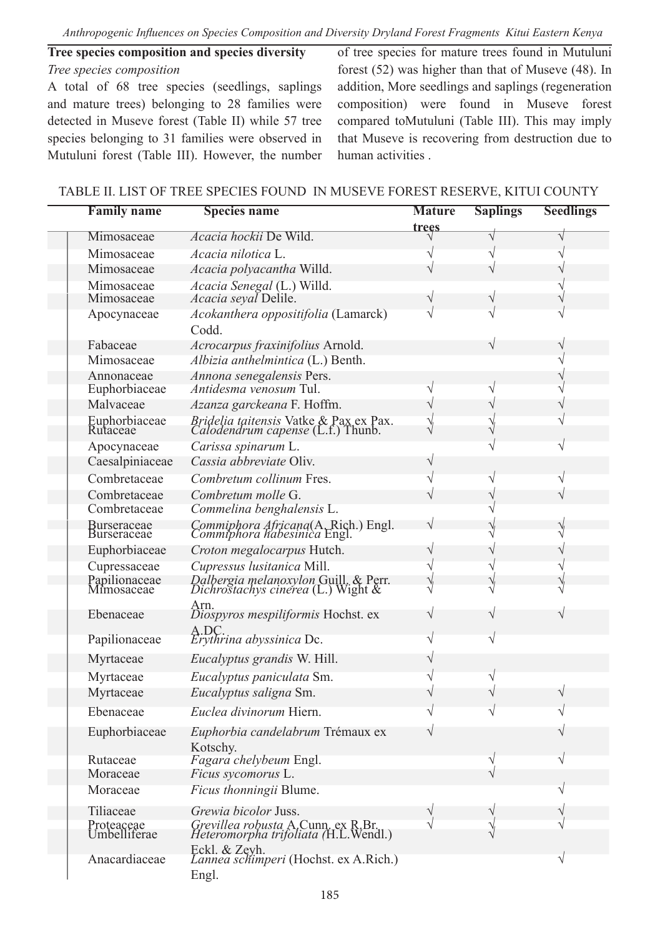## **Tree species composition and species diversity** *Tree species composition*

A total of 68 tree species (seedlings, saplings and mature trees) belonging to 28 families were detected in Museve forest (Table II) while 57 tree species belonging to 31 families were observed in Mutuluni forest (Table III). However, the number of tree species for mature trees found in Mutuluni forest (52) was higher than that of Museve (48). In addition, More seedlings and saplings (regeneration composition) were found in Museve forest compared toMutuluni (Table III). This may imply that Museve is recovering from destruction due to human activities .

| <b>Family name</b>           | <b>Species name</b>                                                                | <b>Mature</b> | <b>Saplings</b> | <b>Seedlings</b> |  |
|------------------------------|------------------------------------------------------------------------------------|---------------|-----------------|------------------|--|
| Mimosaceae                   | <i>Acacia hockii</i> De Wild.                                                      | <u>trees</u>  |                 |                  |  |
| Mimosaceae                   | Acacia nilotica L.                                                                 |               |                 |                  |  |
| Mimosaceae                   | Acacia polyacantha Willd.                                                          |               |                 |                  |  |
| Mimosaceae                   |                                                                                    |               |                 |                  |  |
| Mimosaceae                   | Acacia Senegal (L.) Willd.<br>Acacia seyal Delile.                                 |               |                 |                  |  |
| Apocynaceae                  | Acokanthera oppositifolia (Lamarck)                                                |               |                 |                  |  |
|                              | Codd.                                                                              |               |                 |                  |  |
| Fabaceae                     | Acrocarpus fraxinifolius Arnold.                                                   |               |                 |                  |  |
| Mimosaceae                   | Albizia anthelmintica (L.) Benth.                                                  |               |                 |                  |  |
| Annonaceae                   | Annona senegalensis Pers.                                                          |               |                 |                  |  |
| Euphorbiaceae                | <i>Antidesma venosum</i> Tul.                                                      | V             |                 |                  |  |
| Malvaceae                    | Azanza garckeana F. Hoffm.                                                         |               |                 |                  |  |
| Euphorbiaceae<br>Rutaceae    | <i>Bridelia taitensis</i> Vatke & Pax ex Pax.<br>Calodendrum capense (L.f.) Thunb. | Ŋ             |                 |                  |  |
|                              |                                                                                    |               |                 |                  |  |
| Apocynaceae                  | Carissa spinarum L.<br>Cassia abbreviate Oliv.                                     | V             |                 |                  |  |
| Caesalpiniaceae              |                                                                                    |               |                 |                  |  |
| Combretaceae                 | Combretum collinum Fres.                                                           |               | ٧               | V                |  |
| Combretaceae<br>Combretaceae | Combretum molle G.                                                                 |               |                 |                  |  |
|                              | Commelina benghalensis L.                                                          |               |                 |                  |  |
| Burseraceae<br>Burseraceae   | Commiphora Africana(A. Rich.) Engl.<br>Commiphora habesinica Engl.                 |               |                 |                  |  |
| Euphorbiaceae                | Croton megalocarpus Hutch.                                                         |               |                 |                  |  |
| Cupressaceae                 | Cupressus lusitanica Mill.                                                         |               |                 |                  |  |
| Papilionaceae<br>Mimosaceae  | Dalbergia melanoxylon Guill, & Perr.<br>Dichrostachys cinerea (L.) Wight &         |               |                 |                  |  |
|                              |                                                                                    |               |                 |                  |  |
| Ebenaceae                    | Arn.<br><i>Diospyros mespiliformis</i> Hochst. ex                                  |               |                 |                  |  |
| Papilionaceae                | A.DC.<br>Erythrina abyssinica Dc.                                                  |               |                 |                  |  |
| Myrtaceae                    | Eucalyptus grandis W. Hill.                                                        |               |                 |                  |  |
|                              |                                                                                    |               |                 |                  |  |
| Myrtaceae                    | Eucalyptus paniculata Sm.<br>Eucalyptus saligna Sm.                                |               |                 |                  |  |
| Myrtaceae                    |                                                                                    |               |                 |                  |  |
| Ebenaceae                    | Euclea divinorum Hiern.                                                            |               |                 |                  |  |
| Euphorbiaceae                | Euphorbia candelabrum Trémaux ex                                                   |               |                 |                  |  |
| Rutaceae                     | Kotschy.<br>Fagara chelybeum Engl.                                                 |               |                 |                  |  |
| Moraceae                     | Ficus sycomorus L.                                                                 |               |                 |                  |  |
| Moraceae                     | Ficus thonningii Blume.                                                            |               |                 |                  |  |
|                              |                                                                                    |               |                 |                  |  |
| Tiliaceae                    | Grewia bicolor Juss.                                                               |               |                 |                  |  |
| Proteaceae<br>Umbelliferae   | Grevillea robusta A.Cunn. ex R.Br.<br>Heteromorpha trifoliata (H.L.Wendl.)         |               |                 |                  |  |
| Anacardiaceae                | Eckl. & Zeyh.<br>Lannea schimperi (Hochst. ex A.Rich.)                             |               |                 |                  |  |
|                              | Engl.                                                                              |               |                 |                  |  |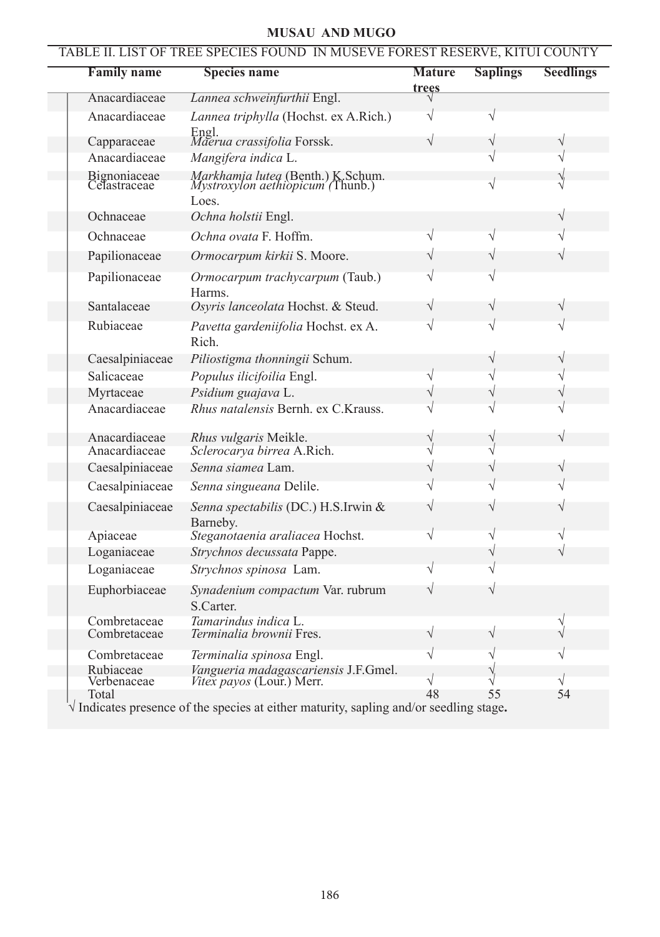# **MUSAU AND MUGO**

| <b>Family name</b><br><u>trees</u><br>Anacardiaceae<br>Lannea schweinfurthii Engl.<br>Lannea triphylla (Hochst. ex A.Rich.)<br>Anacardiaceae<br>Engl.<br>Maerua crassifolia Forssk.<br>Capparaceae<br>Anacardiaceae<br>Mangifera indica L.<br>Bignoniaceae<br>Celastraceae<br><i>Markhamia lutea</i> (Benth.) K. Schum.<br><i>Mystroxylon aethiopicum (Thunb.)</i><br>Loes.<br>Ochnaceae<br>Ochna holstii Engl.<br>Ochna ovata F. Hoffm.<br>Ochnaceae<br>Papilionaceae<br>Ormocarpum kirkii S. Moore.<br>Papilionaceae<br>Ormocarpum trachycarpum (Taub.)<br>Harms.<br>Santalaceae<br>Osyris lanceolata Hochst. & Steud.<br>Rubiaceae<br>Pavetta gardeniifolia Hochst. ex A.<br>Rich.<br>Piliostigma thonningii Schum.<br>Caesalpiniaceae<br>Salicaceae<br>Populus ilicifoilia Engl.<br>Myrtaceae<br>Psidium guajava L.<br>Rhus natalensis Bernh. ex C.Krauss.<br>Anacardiaceae<br>Anacardiaceae<br>Rhus vulgaris Meikle.<br>Anacardiaceae<br>Sclerocarya birrea A.Rich.<br>Senna siamea Lam.<br>Caesalpiniaceae<br>Caesalpiniaceae<br>Senna singueana Delile.<br>Caesalpiniaceae<br>Senna spectabilis (DC.) H.S.Irwin &<br>Barneby.<br>Steganotaenia araliacea Hochst.<br>Apiaceae<br>Loganiaceae<br>Strychnos decussata Pappe.<br>Loganiaceae<br>Strychnos spinosa Lam.<br>Euphorbiaceae<br>Synadenium compactum Var. rubrum<br>S.Carter.<br>Tamarindus indica L.<br>Combretaceae<br>Combretaceae<br>Terminalia brownii Fres.<br>Combretaceae<br>Terminalia spinosa Engl.<br>Rubiaceae<br>Vangueria madagascariensis J.F.Gmel.<br>Vitex payos (Lour.) Merr.<br>Verbenaceae<br>$\sqrt{}$<br>V<br>Total | TABLE II. LIST OF TREE SPECIES FOUND IN MUSEVE FOREST RESERVE, KITUI COUNTY |                     |               |                 |                  |
|---------------------------------------------------------------------------------------------------------------------------------------------------------------------------------------------------------------------------------------------------------------------------------------------------------------------------------------------------------------------------------------------------------------------------------------------------------------------------------------------------------------------------------------------------------------------------------------------------------------------------------------------------------------------------------------------------------------------------------------------------------------------------------------------------------------------------------------------------------------------------------------------------------------------------------------------------------------------------------------------------------------------------------------------------------------------------------------------------------------------------------------------------------------------------------------------------------------------------------------------------------------------------------------------------------------------------------------------------------------------------------------------------------------------------------------------------------------------------------------------------------------------------------------------------------------------------------------------------------|-----------------------------------------------------------------------------|---------------------|---------------|-----------------|------------------|
|                                                                                                                                                                                                                                                                                                                                                                                                                                                                                                                                                                                                                                                                                                                                                                                                                                                                                                                                                                                                                                                                                                                                                                                                                                                                                                                                                                                                                                                                                                                                                                                                         |                                                                             | <b>Species name</b> | <b>Mature</b> | <b>Saplings</b> | <b>Seedlings</b> |
|                                                                                                                                                                                                                                                                                                                                                                                                                                                                                                                                                                                                                                                                                                                                                                                                                                                                                                                                                                                                                                                                                                                                                                                                                                                                                                                                                                                                                                                                                                                                                                                                         |                                                                             |                     |               |                 |                  |
|                                                                                                                                                                                                                                                                                                                                                                                                                                                                                                                                                                                                                                                                                                                                                                                                                                                                                                                                                                                                                                                                                                                                                                                                                                                                                                                                                                                                                                                                                                                                                                                                         |                                                                             |                     |               |                 |                  |
|                                                                                                                                                                                                                                                                                                                                                                                                                                                                                                                                                                                                                                                                                                                                                                                                                                                                                                                                                                                                                                                                                                                                                                                                                                                                                                                                                                                                                                                                                                                                                                                                         |                                                                             |                     |               |                 |                  |
|                                                                                                                                                                                                                                                                                                                                                                                                                                                                                                                                                                                                                                                                                                                                                                                                                                                                                                                                                                                                                                                                                                                                                                                                                                                                                                                                                                                                                                                                                                                                                                                                         |                                                                             |                     |               |                 |                  |
|                                                                                                                                                                                                                                                                                                                                                                                                                                                                                                                                                                                                                                                                                                                                                                                                                                                                                                                                                                                                                                                                                                                                                                                                                                                                                                                                                                                                                                                                                                                                                                                                         |                                                                             |                     |               |                 |                  |
|                                                                                                                                                                                                                                                                                                                                                                                                                                                                                                                                                                                                                                                                                                                                                                                                                                                                                                                                                                                                                                                                                                                                                                                                                                                                                                                                                                                                                                                                                                                                                                                                         |                                                                             |                     |               |                 |                  |
|                                                                                                                                                                                                                                                                                                                                                                                                                                                                                                                                                                                                                                                                                                                                                                                                                                                                                                                                                                                                                                                                                                                                                                                                                                                                                                                                                                                                                                                                                                                                                                                                         |                                                                             |                     |               |                 |                  |
|                                                                                                                                                                                                                                                                                                                                                                                                                                                                                                                                                                                                                                                                                                                                                                                                                                                                                                                                                                                                                                                                                                                                                                                                                                                                                                                                                                                                                                                                                                                                                                                                         |                                                                             |                     |               |                 |                  |
|                                                                                                                                                                                                                                                                                                                                                                                                                                                                                                                                                                                                                                                                                                                                                                                                                                                                                                                                                                                                                                                                                                                                                                                                                                                                                                                                                                                                                                                                                                                                                                                                         |                                                                             |                     |               |                 |                  |
|                                                                                                                                                                                                                                                                                                                                                                                                                                                                                                                                                                                                                                                                                                                                                                                                                                                                                                                                                                                                                                                                                                                                                                                                                                                                                                                                                                                                                                                                                                                                                                                                         |                                                                             |                     |               |                 |                  |
|                                                                                                                                                                                                                                                                                                                                                                                                                                                                                                                                                                                                                                                                                                                                                                                                                                                                                                                                                                                                                                                                                                                                                                                                                                                                                                                                                                                                                                                                                                                                                                                                         |                                                                             |                     |               |                 |                  |
|                                                                                                                                                                                                                                                                                                                                                                                                                                                                                                                                                                                                                                                                                                                                                                                                                                                                                                                                                                                                                                                                                                                                                                                                                                                                                                                                                                                                                                                                                                                                                                                                         |                                                                             |                     |               |                 |                  |
|                                                                                                                                                                                                                                                                                                                                                                                                                                                                                                                                                                                                                                                                                                                                                                                                                                                                                                                                                                                                                                                                                                                                                                                                                                                                                                                                                                                                                                                                                                                                                                                                         |                                                                             |                     |               |                 |                  |
|                                                                                                                                                                                                                                                                                                                                                                                                                                                                                                                                                                                                                                                                                                                                                                                                                                                                                                                                                                                                                                                                                                                                                                                                                                                                                                                                                                                                                                                                                                                                                                                                         |                                                                             |                     |               |                 |                  |
|                                                                                                                                                                                                                                                                                                                                                                                                                                                                                                                                                                                                                                                                                                                                                                                                                                                                                                                                                                                                                                                                                                                                                                                                                                                                                                                                                                                                                                                                                                                                                                                                         |                                                                             |                     |               |                 |                  |
|                                                                                                                                                                                                                                                                                                                                                                                                                                                                                                                                                                                                                                                                                                                                                                                                                                                                                                                                                                                                                                                                                                                                                                                                                                                                                                                                                                                                                                                                                                                                                                                                         |                                                                             |                     |               |                 |                  |
|                                                                                                                                                                                                                                                                                                                                                                                                                                                                                                                                                                                                                                                                                                                                                                                                                                                                                                                                                                                                                                                                                                                                                                                                                                                                                                                                                                                                                                                                                                                                                                                                         |                                                                             |                     |               |                 |                  |
|                                                                                                                                                                                                                                                                                                                                                                                                                                                                                                                                                                                                                                                                                                                                                                                                                                                                                                                                                                                                                                                                                                                                                                                                                                                                                                                                                                                                                                                                                                                                                                                                         |                                                                             |                     |               |                 |                  |
|                                                                                                                                                                                                                                                                                                                                                                                                                                                                                                                                                                                                                                                                                                                                                                                                                                                                                                                                                                                                                                                                                                                                                                                                                                                                                                                                                                                                                                                                                                                                                                                                         |                                                                             |                     |               |                 |                  |
|                                                                                                                                                                                                                                                                                                                                                                                                                                                                                                                                                                                                                                                                                                                                                                                                                                                                                                                                                                                                                                                                                                                                                                                                                                                                                                                                                                                                                                                                                                                                                                                                         |                                                                             |                     |               |                 |                  |
|                                                                                                                                                                                                                                                                                                                                                                                                                                                                                                                                                                                                                                                                                                                                                                                                                                                                                                                                                                                                                                                                                                                                                                                                                                                                                                                                                                                                                                                                                                                                                                                                         |                                                                             |                     |               |                 |                  |
|                                                                                                                                                                                                                                                                                                                                                                                                                                                                                                                                                                                                                                                                                                                                                                                                                                                                                                                                                                                                                                                                                                                                                                                                                                                                                                                                                                                                                                                                                                                                                                                                         |                                                                             |                     |               |                 |                  |
|                                                                                                                                                                                                                                                                                                                                                                                                                                                                                                                                                                                                                                                                                                                                                                                                                                                                                                                                                                                                                                                                                                                                                                                                                                                                                                                                                                                                                                                                                                                                                                                                         |                                                                             |                     |               |                 |                  |
|                                                                                                                                                                                                                                                                                                                                                                                                                                                                                                                                                                                                                                                                                                                                                                                                                                                                                                                                                                                                                                                                                                                                                                                                                                                                                                                                                                                                                                                                                                                                                                                                         |                                                                             |                     |               |                 |                  |
|                                                                                                                                                                                                                                                                                                                                                                                                                                                                                                                                                                                                                                                                                                                                                                                                                                                                                                                                                                                                                                                                                                                                                                                                                                                                                                                                                                                                                                                                                                                                                                                                         |                                                                             |                     |               |                 |                  |
|                                                                                                                                                                                                                                                                                                                                                                                                                                                                                                                                                                                                                                                                                                                                                                                                                                                                                                                                                                                                                                                                                                                                                                                                                                                                                                                                                                                                                                                                                                                                                                                                         |                                                                             |                     | 48            | 55              | 54               |

*√* Indicates presence of the species at either maturity, sapling and/or seedling stage**.**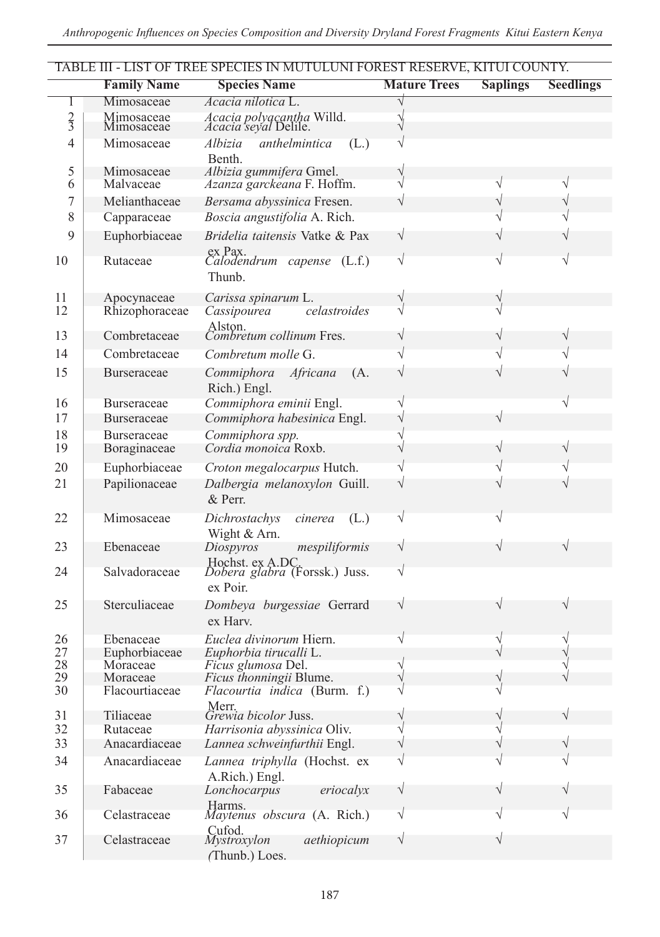|                |                                    | TABLE III - LIST OF TREE SPECIES IN MUTULUNI FOREST RESERVE, KITUI COUNTY. |                     |                 |                  |
|----------------|------------------------------------|----------------------------------------------------------------------------|---------------------|-----------------|------------------|
|                | <b>Family Name</b>                 | <b>Species Name</b>                                                        | <b>Mature Trees</b> | <b>Saplings</b> | <b>Seedlings</b> |
| T              | Mimosaceae                         | Acacia nilotica L.                                                         |                     |                 |                  |
| $\frac{2}{3}$  | Mimosaceae<br>Mimosaceae           | Acacia polyacantha Willd.<br>Acacia seyal Delile.                          |                     |                 |                  |
| $\overline{4}$ | Mimosaceae                         | anthelmintica<br>Albizia<br>(L.)<br>Benth.                                 |                     |                 |                  |
| 5<br>6         | Mimosaceae<br>Malvaceae            | Albizia gummifera Gmel.<br>Azanza garckeana F. Hoffm.                      |                     |                 | V                |
| 7<br>8         | Melianthaceae<br>Capparaceae       | Bersama abyssinica Fresen.<br>Boscia angustifolia A. Rich.                 |                     |                 |                  |
| 9              | Euphorbiaceae                      | Bridelia taitensis Vatke & Pax                                             | V                   |                 |                  |
| 10             | Rutaceae                           | ex Pax.<br>Calodendrum capense (L.f.)<br>Thunb.                            | V                   |                 |                  |
| 11             | Apocynaceae                        | Carissa spinarum L.                                                        |                     |                 |                  |
| 12             | Rhizophoraceae                     | celastroides<br>Cassipourea                                                |                     |                 |                  |
| 13             | Combretaceae                       | Alston.<br>Combretum collinum Fres.                                        |                     |                 |                  |
| 14             | Combretaceae                       | Combretum molle G.                                                         |                     |                 |                  |
| 15             | Burseraceae                        | Commiphora<br>Africana<br>(A,<br>Rich.) Engl.                              |                     |                 |                  |
| 16             | Burseraceae                        | Commiphora eminii Engl.                                                    |                     |                 |                  |
| 17             | Burseraceae                        | Commiphora habesinica Engl.                                                |                     |                 |                  |
| 18<br>19       | <b>Burseraceae</b><br>Boraginaceae | Commiphora spp.<br>Cordia monoica Roxb.                                    |                     |                 |                  |
| 20             | Euphorbiaceae                      | Croton megalocarpus Hutch.                                                 |                     |                 |                  |
| 21             | Papilionaceae                      | Dalbergia melanoxylon Guill.<br>$&$ Perr.                                  |                     |                 |                  |
| 22             | Mimosaceae                         | Dichrostachys<br>(L.)<br>cinerea<br>Wight & Arn.                           | V                   |                 |                  |
| 23             | Ebenaceae                          | Diospyros<br>mespiliformis                                                 | V                   |                 |                  |
| 24             | Salvadoraceae                      | Hochst. ex A.DC.<br>Dobera glabra (Forssk.) Juss.<br>ex Poir.              | V                   |                 |                  |
| 25             | Sterculiaceae                      | Dombeya burgessiae Gerrard<br>ex Harv.                                     | V                   |                 |                  |
| 26             | Ebenaceae                          | Euclea divinorum Hiern.                                                    |                     |                 |                  |
| 27             | Euphorbiaceae                      | Euphorbia tirucalli L.                                                     |                     |                 |                  |
| 28<br>29       | Moraceae                           | Ficus glumosa Del.                                                         |                     |                 |                  |
| 30             | Moraceae<br>Flacourtiaceae         | Ficus thonningii Blume.<br>Flacourtia indica (Burm. f.)                    |                     |                 |                  |
| 31             | Tiliaceae                          | Merr.<br>Grewia bicolor Juss.                                              |                     |                 |                  |
| 32             | Rutaceae                           | Harrisonia abyssinica Oliv.                                                | V                   |                 |                  |
| 33             | Anacardiaceae                      | Lannea schweinfurthii Engl.                                                |                     |                 |                  |
| 34             | Anacardiaceae                      | Lannea triphylla (Hochst. ex<br>A.Rich.) Engl.                             | V                   |                 |                  |
| 35             | Fabaceae                           | Lonchocarpus<br>eriocalyx                                                  | V                   |                 |                  |
| 36             | Celastraceae                       | Harms.<br>Maytenus obscura (A. Rich.)                                      | V                   |                 |                  |
| 37             | Celastraceae                       | Cufod.<br>Mystroxylon<br>aethiopicum<br>(Thunb.) Loes.                     | V                   |                 |                  |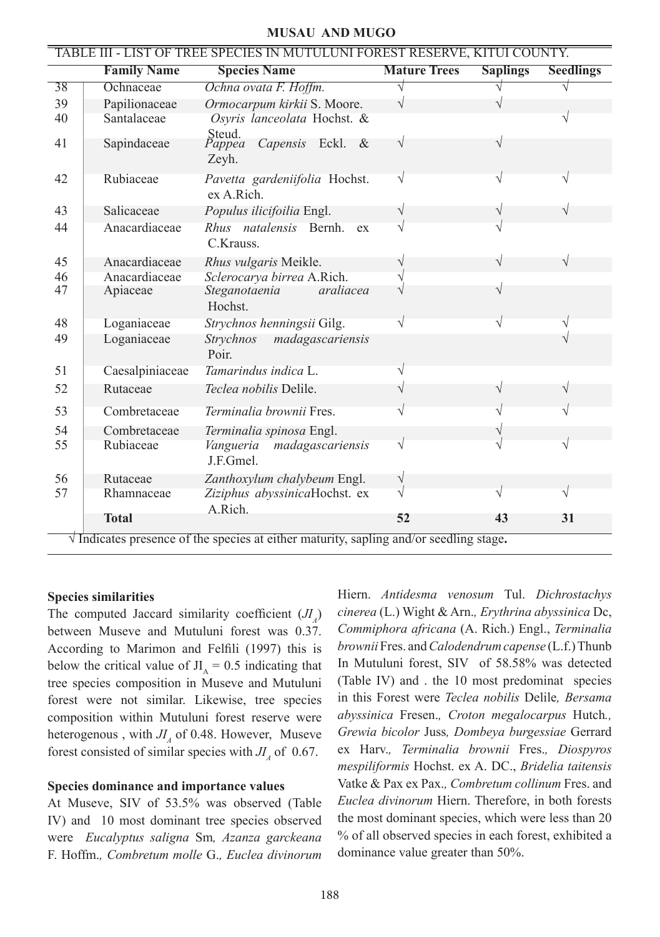### **MUSAU AND MUGO**

| TABLE III - LIST OF TREE SPECIES IN MUTULUNI FOREST RESERVE, KITUI COUNTY.                     |                    |                                            |                     |                 |                  |
|------------------------------------------------------------------------------------------------|--------------------|--------------------------------------------|---------------------|-----------------|------------------|
|                                                                                                | <b>Family Name</b> | <b>Species Name</b>                        | <b>Mature Trees</b> | <b>Saplings</b> | <b>Seedlings</b> |
| 38                                                                                             | Ochnaceae          | Ochna ovata F. Hoffm.                      |                     |                 |                  |
| 39                                                                                             | Papilionaceae      | Ormocarpum kirkii S. Moore.                | V                   |                 |                  |
| 40                                                                                             | Santalaceae        | Osyris lanceolata Hochst. &<br>Steud.      |                     |                 | V                |
| 41                                                                                             | Sapindaceae        | Capensis Eckl. &<br>Pappea<br>Zeyh.        | $\sqrt{}$           | V               |                  |
| 42                                                                                             | Rubiaceae          | Pavetta gardeniifolia Hochst.<br>ex A Rich | $\sqrt{}$           | V               |                  |
| 43                                                                                             | Salicaceae         | Populus ilicifoilia Engl.                  | V                   |                 |                  |
| 44                                                                                             | Anacardiaceae      | Rhus natalensis Bernh.<br>ex<br>C.Krauss.  |                     |                 |                  |
| 45                                                                                             | Anacardiaceae      | Rhus vulgaris Meikle.                      |                     | $\sqrt{}$       | $\sqrt{}$        |
| 46                                                                                             | Anacardiaceae      | Sclerocarya birrea A.Rich.                 |                     |                 |                  |
| 47                                                                                             | Apiaceae           | Steganotaenia<br>araliacea<br>Hochst.      |                     | $\sqrt{ }$      |                  |
| 48                                                                                             | Loganiaceae        | Strychnos henningsii Gilg.                 |                     |                 |                  |
| 49                                                                                             | Loganiaceae        | madagascariensis<br>Strychnos<br>Poir.     |                     |                 |                  |
| 51                                                                                             | Caesalpiniaceae    | Tamarindus indica L.                       |                     |                 |                  |
| 52                                                                                             | Rutaceae           | <i>Teclea nobilis</i> Delile.              |                     |                 |                  |
| 53                                                                                             | Combretaceae       | Terminalia brownii Fres.                   | V                   |                 |                  |
| 54                                                                                             | Combretaceae       | Terminalia spinosa Engl.                   |                     |                 |                  |
| 55                                                                                             | Rubiaceae          | Vangueria madagascariensis<br>J.F.Gmel.    | V                   |                 |                  |
| 56                                                                                             | Rutaceae           | Zanthoxylum chalybeum Engl.                | $\sqrt{}$           |                 |                  |
| 57                                                                                             | Rhamnaceae         | Ziziphus abyssinicaHochst. ex<br>A.Rich.   | V                   |                 | $\sqrt{ }$       |
|                                                                                                | <b>Total</b>       |                                            | 52                  | 43              | 31               |
| $\sqrt{}$ Indicates presence of the species at either maturity, sapling and/or seedling stage. |                    |                                            |                     |                 |                  |

#### **Species similarities**

The computed Jaccard similarity coefficient  $(J_I)$ between Museve and Mutuluni forest was 0.37. According to Marimon and Felfili (1997) this is below the critical value of  $JI<sub>A</sub> = 0.5$  indicating that tree species composition in Museve and Mutuluni forest were not similar. Likewise, tree species composition within Mutuluni forest reserve were heterogenous, with  $JI<sub>A</sub>$  of 0.48. However, Museve forest consisted of similar species with  $JI$ <sub>4</sub> of 0.67.

#### **Species dominance and importance values**

At Museve, SIV of 53.5% was observed (Table IV) and 10 most dominant tree species observed were *Eucalyptus saligna* Sm*, Azanza garckeana* F. Hoffm.*, Combretum molle* G.*, Euclea divinorum* Hiern. *Antidesma venosum* Tul. *Dichrostachys cinerea* (L.) Wight & Arn.*, Erythrina abyssinica* Dc, *Commiphora africana* (A. Rich.) Engl., *Terminalia brownii* Fres. and *Calodendrum capense* (L.f.) Thunb In Mutuluni forest, SIV of 58.58% was detected (Table IV) and . the 10 most predominat species in this Forest were *Teclea nobilis* Delile*, Bersama abyssinica* Fresen.*, Croton megalocarpus* Hutch*., Grewia bicolor* Juss*, Dombeya burgessiae* Gerrard ex Harv.*, Terminalia brownii* Fres.*, Diospyros mespiliformis* Hochst. ex A. DC., *Bridelia taitensis* Vatke & Pax ex Pax.*, Combretum collinum* Fres. and *Euclea divinorum* Hiern. Therefore, in both forests the most dominant species, which were less than 20 % of all observed species in each forest, exhibited a dominance value greater than 50%.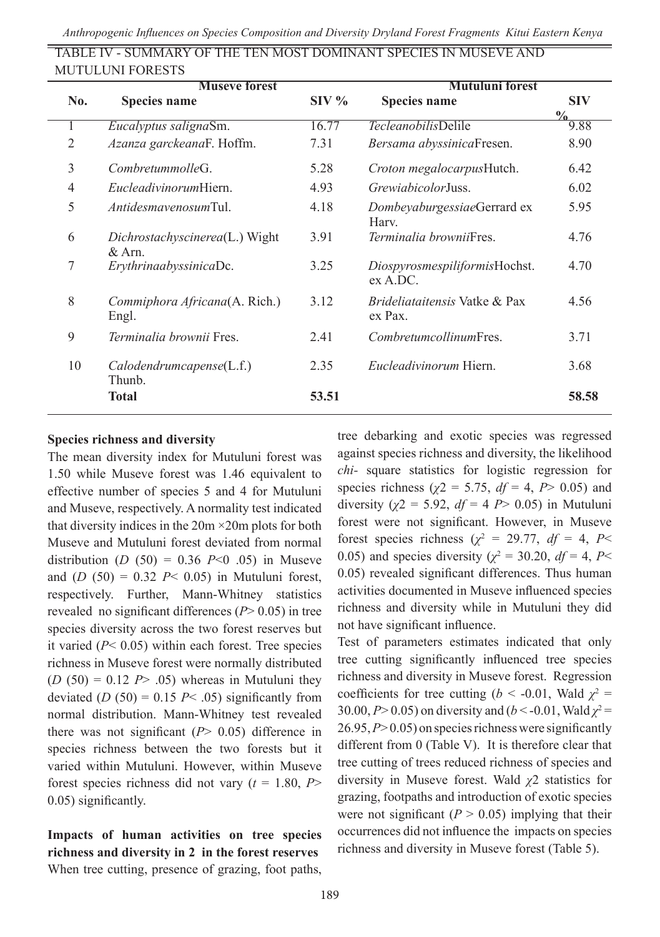| <b>Museve forest</b> |                                                    |         | Mutuluni forest                                 |                             |  |
|----------------------|----------------------------------------------------|---------|-------------------------------------------------|-----------------------------|--|
| No.                  | <b>Species name</b>                                | $SIV\%$ | <b>Species name</b>                             | <b>SIV</b><br>$\frac{0}{0}$ |  |
|                      | Eucalyptus salignaSm.                              | 16.77   | <i>Tecleanobilis</i> Delile                     | 9.88                        |  |
| $\mathfrak{D}$       | Azanza garckeanaF. Hoffm.                          | 7.31    | Bersama abyssinicaFresen.                       | 8.90                        |  |
| 3                    | CombretummolleG                                    | 5.28    | Croton megalocarpusHutch.                       | 6.42                        |  |
| $\overline{4}$       | <i>EucleadivinorumHiern.</i>                       | 4.93    | <i>GrewiabicolorJuss.</i>                       | 6.02                        |  |
| 5                    | AntidesmayenosumTul.                               | 4.18    | DombeyaburgessiaeGerrard ex<br>Harv.            | 5.95                        |  |
| 6                    | <i>Dichrostachyscinerea</i> (L.) Wight<br>$&$ Arn. | 3.91    | Terminalia browniiFres.                         | 4.76                        |  |
| 7                    | ErythrinaabyssinicaDc.                             | 3.25    | DiospyrosmespiliformisHochst.<br>ex A. D.       | 4.70                        |  |
| 8                    | Commiphora Africana(A. Rich.)<br>Engl.             | 3.12    | <i>Brideliataitensis</i> Vatke & Pax<br>ex Pax. | 4.56                        |  |
| 9                    | Terminalia brownii Fres.                           | 2.41    | CombretumcollinumFres.                          | 3.71                        |  |
| 10                   | Calodendrumcapense (L.f.)<br>Thunb.                | 2.35    | <i>Eucleadivinorum</i> Hiern.                   | 3.68                        |  |
|                      | <b>Total</b>                                       | 53.51   |                                                 | 58.58                       |  |

TABLE IV - SUMMARY OF THE TEN MOST DOMINANT SPECIES IN MUSEVE AND MUTULUNI FORESTS

# **Species richness and diversity**

The mean diversity index for Mutuluni forest was 1.50 while Museve forest was 1.46 equivalent to effective number of species 5 and 4 for Mutuluni and Museve, respectively. A normality test indicated that diversity indices in the 20m ×20m plots for both Museve and Mutuluni forest deviated from normal distribution  $(D (50) = 0.36 P<0.05)$  in Museve and  $(D (50) = 0.32 \, P \leq 0.05)$  in Mutuluni forest, respectively. Further, Mann-Whitney statistics revealed no significant differences (*P*> 0.05) in tree species diversity across the two forest reserves but it varied  $(P< 0.05)$  within each forest. Tree species richness in Museve forest were normally distributed  $(D (50) = 0.12 P > .05)$  whereas in Mutuluni they deviated  $(D (50) = 0.15 P < .05)$  significantly from normal distribution. Mann-Whitney test revealed there was not significant  $(P > 0.05)$  difference in species richness between the two forests but it varied within Mutuluni. However, within Museve forest species richness did not vary  $(t = 1.80, P$ > 0.05) significantly.

**Impacts of human activities on tree species richness and diversity in 2 in the forest reserves**  When tree cutting, presence of grazing, foot paths,

tree debarking and exotic species was regressed against species richness and diversity, the likelihood *chi-* square statistics for logistic regression for species richness ( $\chi$ 2 = 5.75,  $df = 4$ , *P*> 0.05) and diversity ( $\chi$ 2 = 5.92, *df* = 4 *P* > 0.05) in Mutuluni forest were not significant. However, in Museve forest species richness ( $\chi^2$  = 29.77, *df* = 4, *P*< 0.05) and species diversity ( $\chi^2$  = 30.20, *df* = 4, *P*< 0.05) revealed significant differences. Thus human activities documented in Museve influenced species richness and diversity while in Mutuluni they did not have significant influence.

Test of parameters estimates indicated that only tree cutting significantly influenced tree species richness and diversity in Museve forest. Regression coefficients for tree cutting ( $b < -0.01$ , Wald  $\chi^2 =$ 30.00, *P*> 0.05) on diversity and (*b* < -0.01, Wald  $\chi^2$  = 26.95, *P*> 0.05) on species richness were significantly different from 0 (Table V). It is therefore clear that tree cutting of trees reduced richness of species and diversity in Museve forest. Wald *χ*2 statistics for grazing, footpaths and introduction of exotic species were not significant  $(P > 0.05)$  implying that their occurrences did not influence the impacts on species richness and diversity in Museve forest (Table 5).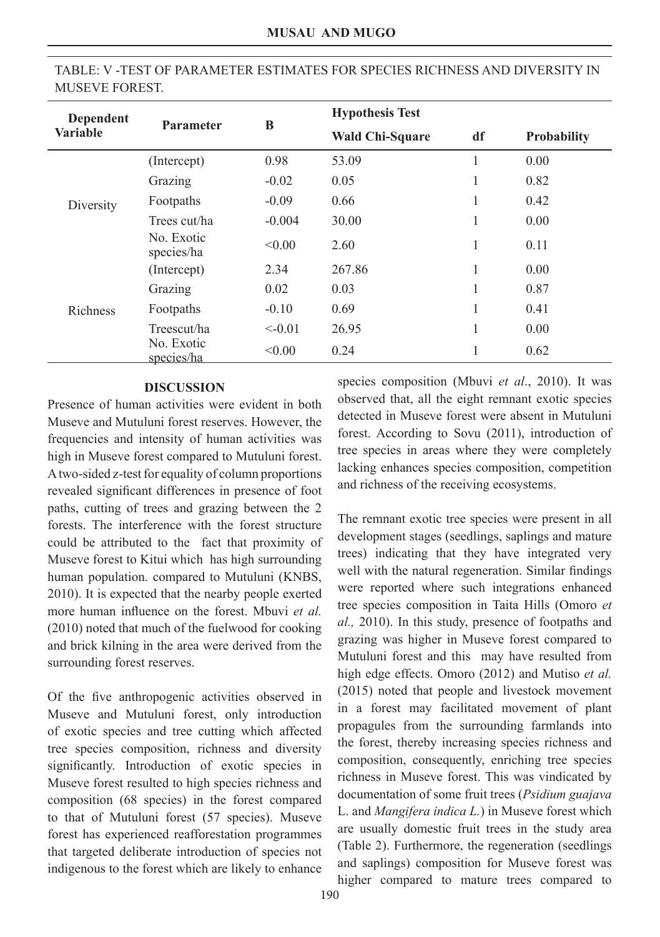| Dependent       |                          |          | <b>Hypothesis Test</b> |    |                    |
|-----------------|--------------------------|----------|------------------------|----|--------------------|
| <b>Variable</b> | <b>Parameter</b>         | B        | <b>Wald Chi-Square</b> | df | <b>Probability</b> |
|                 | (Intercept)              | 0.98     | 53.09                  | 1  | 0.00               |
|                 | Grazing                  | $-0.02$  | 0.05                   | 1  | 0.82               |
| Diversity       | Footpaths                | $-0.09$  | 0.66                   | 1  | 0.42               |
|                 | Trees cut/ha             | $-0.004$ | 30.00                  | 1  | 0.00               |
|                 | No. Exotic<br>species/ha | < 0.00   | 2.60                   | 1  | 0.11               |
|                 | (Intercept)              | 2.34     | 267.86                 | 1  | 0.00               |
|                 | Grazing                  | 0.02     | 0.03                   | 1  | 0.87               |
| <b>Richness</b> | Footpaths                | $-0.10$  | 0.69                   | 1  | 0.41               |
|                 | Treescut/ha              | $<-0.01$ | 26.95                  | 1  | 0.00               |
|                 | No. Exotic<br>species/ha | < 0.00   | 0.24                   | 1  | 0.62               |

# TABLE: V -TEST OF PARAMETER ESTIMATES FOR SPECIES RICHNESS AND DIVERSITY IN MUSEVE FOREST.

### **DISCUSSION**

Presence of human activities were evident in both Museve and Mutuluni forest reserves. However, the frequencies and intensity of human activities was high in Museve forest compared to Mutuluni forest. A two-sided z-test for equality of column proportions revealed significant differences in presence of foot paths, cutting of trees and grazing between the 2 forests. The interference with the forest structure could be attributed to the fact that proximity of Museve forest to Kitui which has high surrounding human population. compared to Mutuluni (KNBS, 2010). It is expected that the nearby people exerted more human influence on the forest. Mbuvi *et al.* (2010) noted that much of the fuelwood for cooking and brick kilning in the area were derived from the surrounding forest reserves.

Of the five anthropogenic activities observed in Museve and Mutuluni forest, only introduction of exotic species and tree cutting which affected tree species composition, richness and diversity significantly. Introduction of exotic species in Museve forest resulted to high species richness and composition (68 species) in the forest compared to that of Mutuluni forest (57 species). Museve forest has experienced reafforestation programmes that targeted deliberate introduction of species not indigenous to the forest which are likely to enhance

species composition (Mbuvi *et al*., 2010). It was observed that, all the eight remnant exotic species detected in Museve forest were absent in Mutuluni forest. According to Sovu (2011), introduction of tree species in areas where they were completely lacking enhances species composition, competition and richness of the receiving ecosystems.

The remnant exotic tree species were present in all development stages (seedlings, saplings and mature trees) indicating that they have integrated very well with the natural regeneration. Similar findings were reported where such integrations enhanced tree species composition in Taita Hills (Omoro *et al.,* 2010). In this study, presence of footpaths and grazing was higher in Museve forest compared to Mutuluni forest and this may have resulted from high edge effects. Omoro (2012) and Mutiso *et al.* (2015) noted that people and livestock movement in a forest may facilitated movement of plant propagules from the surrounding farmlands into the forest, thereby increasing species richness and composition, consequently, enriching tree species richness in Museve forest. This was vindicated by documentation of some fruit trees (*Psidium guajava*  L. and *Mangifera indica L.*) in Museve forest which are usually domestic fruit trees in the study area (Table 2). Furthermore, the regeneration (seedlings and saplings) composition for Museve forest was higher compared to mature trees compared to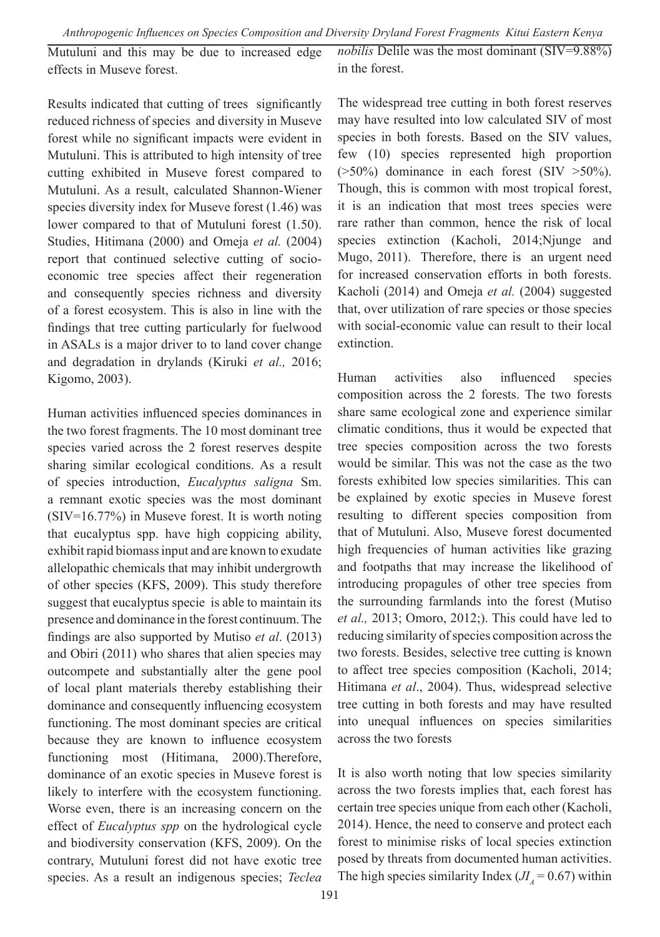Mutuluni and this may be due to increased edge effects in Museve forest. *nobilis* Delile was the most dominant (SIV=9.88%) in the forest.

Results indicated that cutting of trees significantly reduced richness of species and diversity in Museve forest while no significant impacts were evident in Mutuluni. This is attributed to high intensity of tree cutting exhibited in Museve forest compared to Mutuluni. As a result, calculated Shannon-Wiener species diversity index for Museve forest (1.46) was lower compared to that of Mutuluni forest (1.50). Studies, Hitimana (2000) and Omeja *et al.* (2004) report that continued selective cutting of socioeconomic tree species affect their regeneration and consequently species richness and diversity of a forest ecosystem. This is also in line with the findings that tree cutting particularly for fuelwood in ASALs is a major driver to to land cover change and degradation in drylands (Kiruki *et al.,* 2016; Kigomo, 2003).

Human activities influenced species dominances in the two forest fragments. The 10 most dominant tree species varied across the 2 forest reserves despite sharing similar ecological conditions. As a result of species introduction, *Eucalyptus saligna* Sm. a remnant exotic species was the most dominant (SIV=16.77%) in Museve forest. It is worth noting that eucalyptus spp. have high coppicing ability, exhibit rapid biomass input and are known to exudate allelopathic chemicals that may inhibit undergrowth of other species (KFS, 2009). This study therefore suggest that eucalyptus specie is able to maintain its presence and dominance in the forest continuum. The findings are also supported by Mutiso *et al*. (2013) and Obiri (2011) who shares that alien species may outcompete and substantially alter the gene pool of local plant materials thereby establishing their dominance and consequently influencing ecosystem functioning. The most dominant species are critical because they are known to influence ecosystem functioning most (Hitimana, 2000).Therefore, dominance of an exotic species in Museve forest is likely to interfere with the ecosystem functioning. Worse even, there is an increasing concern on the effect of *Eucalyptus spp* on the hydrological cycle and biodiversity conservation (KFS, 2009). On the contrary, Mutuluni forest did not have exotic tree species. As a result an indigenous species; *Teclea*  The widespread tree cutting in both forest reserves may have resulted into low calculated SIV of most species in both forests. Based on the SIV values, few (10) species represented high proportion  $($ >50%) dominance in each forest (SIV >50%). Though, this is common with most tropical forest, it is an indication that most trees species were rare rather than common, hence the risk of local species extinction (Kacholi, 2014;Njunge and Mugo, 2011). Therefore, there is an urgent need for increased conservation efforts in both forests. Kacholi (2014) and Omeja *et al.* (2004) suggested that, over utilization of rare species or those species with social-economic value can result to their local extinction.

Human activities also influenced species composition across the 2 forests. The two forests share same ecological zone and experience similar climatic conditions, thus it would be expected that tree species composition across the two forests would be similar. This was not the case as the two forests exhibited low species similarities. This can be explained by exotic species in Museve forest resulting to different species composition from that of Mutuluni. Also, Museve forest documented high frequencies of human activities like grazing and footpaths that may increase the likelihood of introducing propagules of other tree species from the surrounding farmlands into the forest (Mutiso *et al.,* 2013; Omoro, 2012;). This could have led to reducing similarity of species composition across the two forests. Besides, selective tree cutting is known to affect tree species composition (Kacholi, 2014; Hitimana *et al*., 2004). Thus, widespread selective tree cutting in both forests and may have resulted into unequal influences on species similarities across the two forests

It is also worth noting that low species similarity across the two forests implies that, each forest has certain tree species unique from each other (Kacholi, 2014). Hence, the need to conserve and protect each forest to minimise risks of local species extinction posed by threats from documented human activities. The high species similarity Index ( $JI<sub>A</sub> = 0.67$ ) within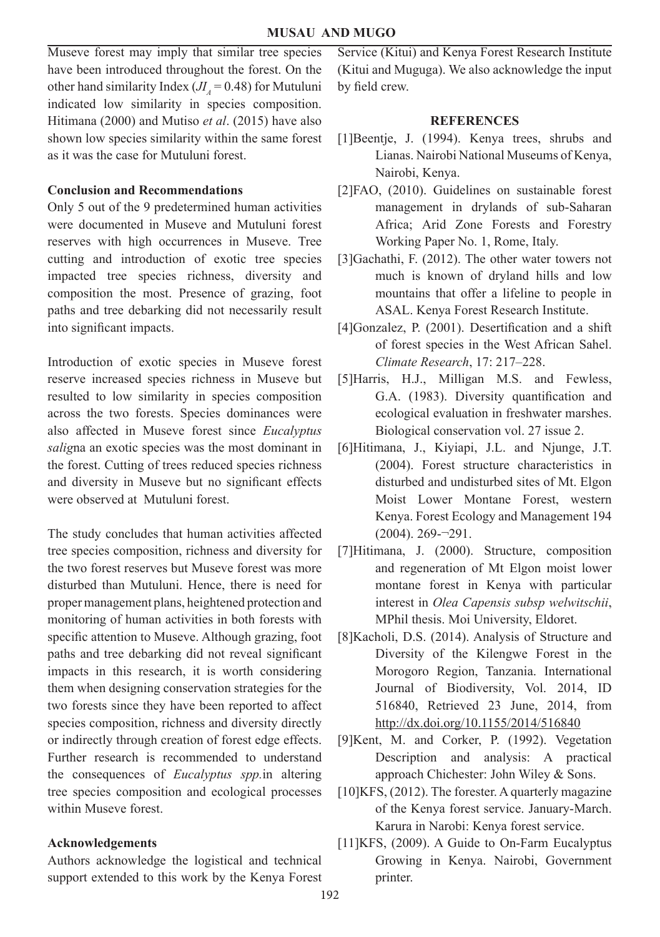Museve forest may imply that similar tree species have been introduced throughout the forest. On the other hand similarity Index  $(J_I = 0.48)$  for Mutuluni indicated low similarity in species composition. Hitimana (2000) and Mutiso *et al*. (2015) have also shown low species similarity within the same forest as it was the case for Mutuluni forest.

### **Conclusion and Recommendations**

Only 5 out of the 9 predetermined human activities were documented in Museve and Mutuluni forest reserves with high occurrences in Museve. Tree cutting and introduction of exotic tree species impacted tree species richness, diversity and composition the most. Presence of grazing, foot paths and tree debarking did not necessarily result into significant impacts.

Introduction of exotic species in Museve forest reserve increased species richness in Museve but resulted to low similarity in species composition across the two forests. Species dominances were also affected in Museve forest since *Eucalyptus salig*na an exotic species was the most dominant in the forest. Cutting of trees reduced species richness and diversity in Museve but no significant effects were observed at Mutuluni forest.

The study concludes that human activities affected tree species composition, richness and diversity for the two forest reserves but Museve forest was more disturbed than Mutuluni. Hence, there is need for proper management plans, heightened protection and monitoring of human activities in both forests with specific attention to Museve. Although grazing, foot paths and tree debarking did not reveal significant impacts in this research, it is worth considering them when designing conservation strategies for the two forests since they have been reported to affect species composition, richness and diversity directly or indirectly through creation of forest edge effects. Further research is recommended to understand the consequences of *Eucalyptus spp.*in altering tree species composition and ecological processes within Museve forest.

### **Acknowledgements**

Authors acknowledge the logistical and technical support extended to this work by the Kenya Forest Service (Kitui) and Kenya Forest Research Institute (Kitui and Muguga). We also acknowledge the input by field crew.

### **REFERENCES**

- [1]Beentje, J. (1994). Kenya trees, shrubs and Lianas. Nairobi National Museums of Kenya, Nairobi, Kenya.
- [2]FAO, (2010). Guidelines on sustainable forest management in drylands of sub-Saharan Africa; Arid Zone Forests and Forestry Working Paper No. 1, Rome, Italy.
- [3]Gachathi, F. (2012). The other water towers not much is known of dryland hills and low mountains that offer a lifeline to people in ASAL. Kenya Forest Research Institute.
- [4]Gonzalez, P. (2001). Desertification and a shift of forest species in the West African Sahel. *Climate Research*, 17: 217–228.
- [5]Harris, H.J., Milligan M.S. and Fewless, G.A. (1983). Diversity quantification and ecological evaluation in freshwater marshes. Biological conservation vol. 27 issue 2.
- [6]Hitimana, J., Kiyiapi, J.L. and Njunge, J.T. (2004). Forest structure characteristics in disturbed and undisturbed sites of Mt. Elgon Moist Lower Montane Forest, western Kenya. Forest Ecology and Management 194 (2004). 269-¬291.
- [7]Hitimana, J. (2000). Structure, composition and regeneration of Mt Elgon moist lower montane forest in Kenya with particular interest in *Olea Capensis subsp welwitschii*, MPhil thesis. Moi University, Eldoret.
- [8]Kacholi, D.S. (2014). Analysis of Structure and Diversity of the Kilengwe Forest in the Morogoro Region, Tanzania. International Journal of Biodiversity, Vol. 2014, ID 516840, Retrieved 23 June, 2014, from http://dx.doi.org/10.1155/2014/516840
- [9]Kent, M. and Corker, P. (1992). Vegetation Description and analysis: A practical approach Chichester: John Wiley & Sons.
- [10]KFS, (2012). The forester. A quarterly magazine of the Kenya forest service. January-March. Karura in Narobi: Kenya forest service.
- [11]KFS, (2009). A Guide to On-Farm Eucalyptus Growing in Kenya. Nairobi, Government printer.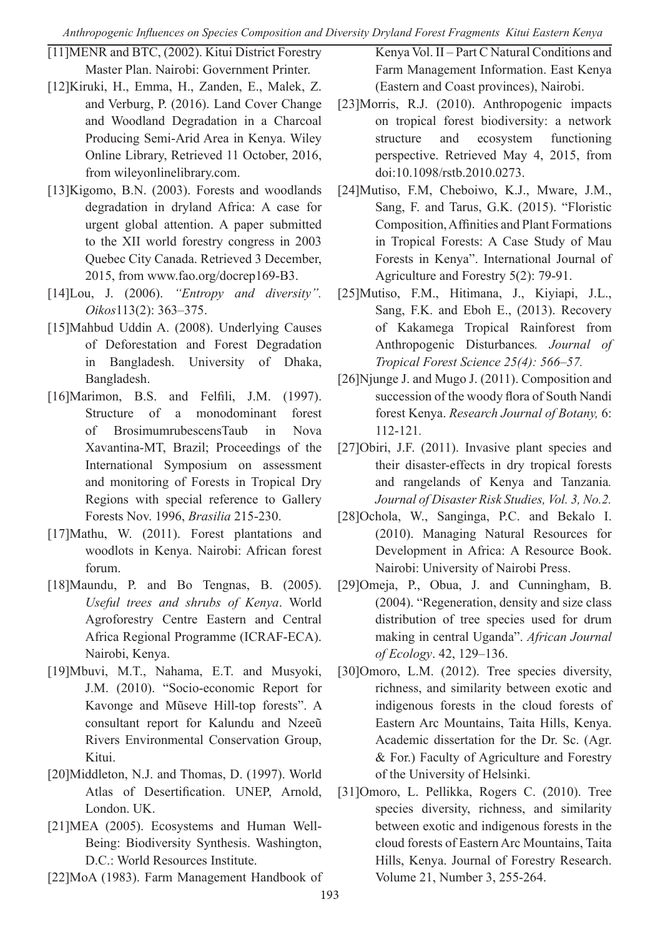*Anthropogenic Influences on Species Composition and Diversity Dryland Forest Fragments Kitui Eastern Kenya*

- [11]MENR and BTC, (2002). Kitui District Forestry Master Plan. Nairobi: Government Printer.
- [12]Kiruki, H., Emma, H., Zanden, E., Malek, Z. and Verburg, P. (2016). Land Cover Change and Woodland Degradation in a Charcoal Producing Semi-Arid Area in Kenya. Wiley Online Library, Retrieved 11 October, 2016, from wileyonlinelibrary.com.
- [13]Kigomo, B.N. (2003). Forests and woodlands degradation in dryland Africa: A case for urgent global attention. A paper submitted to the XII world forestry congress in 2003 Quebec City Canada. Retrieved 3 December, 2015, from www.fao.org/docrep169-B3.
- [14]Lou, J. (2006). *"Entropy and diversity". Oikos*113(2): 363–375.
- [15]Mahbud Uddin A. (2008). Underlying Causes of Deforestation and Forest Degradation in Bangladesh. University of Dhaka, Bangladesh.
- [16]Marimon, B.S. and Felfili, J.M. (1997). Structure of a monodominant forest of BrosimumrubescensTaub in Nova Xavantina-MT, Brazil; Proceedings of the International Symposium on assessment and monitoring of Forests in Tropical Dry Regions with special reference to Gallery Forests Nov. 1996, *Brasilia* 215-230.
- [17]Mathu, W. (2011). Forest plantations and woodlots in Kenya. Nairobi: African forest forum.
- [18]Maundu, P. and Bo Tengnas, B. (2005). *Useful trees and shrubs of Kenya*. World Agroforestry Centre Eastern and Central Africa Regional Programme (ICRAF-ECA). Nairobi, Kenya.
- [19]Mbuvi, M.T., Nahama, E.T. and Musyoki, J.M. (2010). "Socio-economic Report for Kavonge and Mũseve Hill-top forests". A consultant report for Kalundu and Nzeeũ Rivers Environmental Conservation Group, Kitui.
- [20]Middleton, N.J. and Thomas, D. (1997). World Atlas of Desertification. UNEP, Arnold, London. UK.
- [21]MEA (2005). Ecosystems and Human Well-Being: Biodiversity Synthesis. Washington, D.C.: World Resources Institute.

[22]MoA (1983). Farm Management Handbook of

Kenya Vol. II – Part C Natural Conditions and Farm Management Information. East Kenya (Eastern and Coast provinces), Nairobi.

- [23]Morris, R.J. (2010). Anthropogenic impacts on tropical forest biodiversity: a network structure and ecosystem functioning perspective. Retrieved May 4, 2015, from doi:10.1098/rstb.2010.0273.
- [24]Mutiso, F.M, Cheboiwo, K.J., Mware, J.M., Sang, F. and Tarus, G.K. (2015). "Floristic Composition, Affinities and Plant Formations in Tropical Forests: A Case Study of Mau Forests in Kenya". International Journal of Agriculture and Forestry 5(2): 79-91.
- [25]Mutiso, F.M., Hitimana, J., Kiyiapi, J.L., Sang, F.K. and Eboh E., (2013). Recovery of Kakamega Tropical Rainforest from Anthropogenic Disturbances*. Journal of Tropical Forest Science 25(4): 566–57.*
- [26]Njunge J. and Mugo J. (2011). Composition and succession of the woody flora of South Nandi forest Kenya. *Research Journal of Botany,* 6: 112-121*.*
- [27]Obiri, J.F. (2011). Invasive plant species and their disaster-effects in dry tropical forests and rangelands of Kenya and Tanzania*. Journal of Disaster Risk Studies, Vol. 3, No.2.*
- [28]Ochola, W., Sanginga, P.C. and Bekalo I. (2010). Managing Natural Resources for Development in Africa: A Resource Book. Nairobi: University of Nairobi Press.
- [29]Omeja, P., Obua, J. and Cunningham, B. (2004). "Regeneration, density and size class distribution of tree species used for drum making in central Uganda". *African Journal of Ecology*. 42, 129–136.
- [30]Omoro, L.M. (2012). Tree species diversity, richness, and similarity between exotic and indigenous forests in the cloud forests of Eastern Arc Mountains, Taita Hills, Kenya. Academic dissertation for the Dr. Sc. (Agr. & For.) Faculty of Agriculture and Forestry of the University of Helsinki.
- [31]Omoro, L. Pellikka, Rogers C. (2010). Tree species diversity, richness, and similarity between exotic and indigenous forests in the cloud forests of Eastern Arc Mountains, Taita Hills, Kenya. Journal of Forestry Research. Volume 21, Number 3, 255-264.